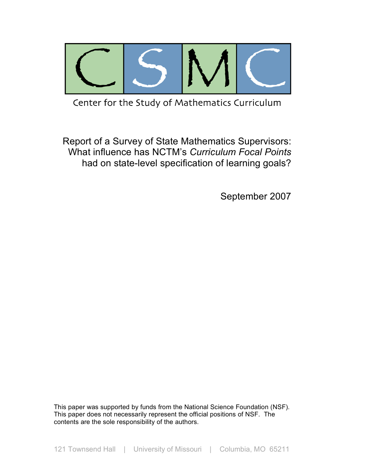

Center for the Study of Mathematics Curriculum

Report of a Survey of State Mathematics Supervisors: What influence has NCTM's *Curriculum Focal Points* had on state-level specification of learning goals?

September 2007

This paper was supported by funds from the National Science Foundation (NSF). This paper does not necessarily represent the official positions of NSF. The contents are the sole responsibility of the authors.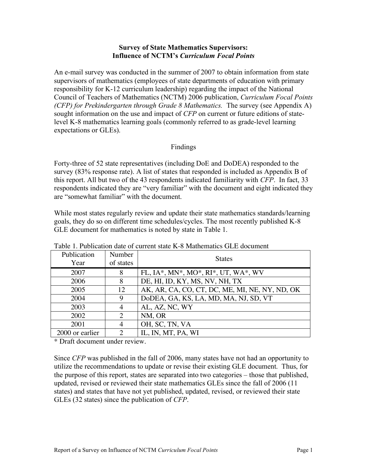### **Survey of State Mathematics Supervisors: Influence of NCTM's** *Curriculum Focal Points*

An e-mail survey was conducted in the summer of 2007 to obtain information from state supervisors of mathematics (employees of state departments of education with primary responsibility for K-12 curriculum leadership) regarding the impact of the National Council of Teachers of Mathematics (NCTM) 2006 publication, *Curriculum Focal Points (CFP) for Prekindergarten through Grade 8 Mathematics.* The survey (see Appendix A) sought information on the use and impact of *CFP* on current or future editions of statelevel K-8 mathematics learning goals (commonly referred to as grade-level learning expectations or GLEs).

# Findings

Forty-three of 52 state representatives (including DoE and DoDEA) responded to the survey (83% response rate). A list of states that responded is included as Appendix B of this report. All but two of the 43 respondents indicated familiarity with *CFP*. In fact, 33 respondents indicated they are "very familiar" with the document and eight indicated they are "somewhat familiar" with the document.

While most states regularly review and update their state mathematics standards/learning goals, they do so on different time schedules/cycles. The most recently published K-8 GLE document for mathematics is noted by state in Table 1.

| Publication<br>Year | Number<br>of states   | <b>States</b>                                  |
|---------------------|-----------------------|------------------------------------------------|
| 2007                | 8                     | FL, IA*, MN*, MO*, RI*, UT, WA*, WV            |
| 2006                | 8                     | DE, HI, ID, KY, MS, NV, NH, TX                 |
| 2005                | 12                    | AK, AR, CA, CO, CT, DC, ME, MI, NE, NY, ND, OK |
| 2004                | 9                     | DoDEA, GA, KS, LA, MD, MA, NJ, SD, VT          |
| 2003                | 4                     | AL, AZ, NC, WY                                 |
| 2002                | $\mathcal{D}_{\cdot}$ | NM, OR                                         |
| 2001                | 4                     | OH, SC, TN, VA                                 |
| 2000 or earlier     | っ                     | IL, IN, MT, PA, WI                             |

Table 1. Publication date of current state K-8 Mathematics GLE document

\* Draft document under review.

Since *CFP* was published in the fall of 2006, many states have not had an opportunity to utilize the recommendations to update or revise their existing GLE document. Thus, for the purpose of this report, states are separated into two categories – those that published, updated, revised or reviewed their state mathematics GLEs since the fall of 2006 (11 states) and states that have not yet published, updated, revised, or reviewed their state GLEs (32 states) since the publication of *CFP*.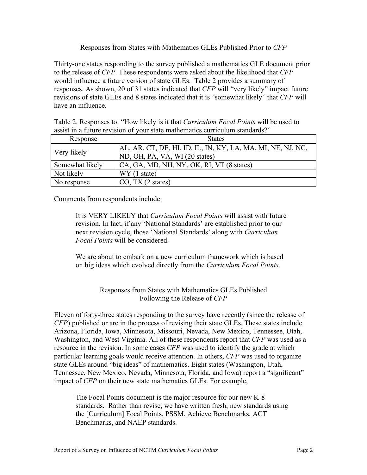# Responses from States with Mathematics GLEs Published Prior to *CFP*

Thirty-one states responding to the survey published a mathematics GLE document prior to the release of *CFP*. These respondents were asked about the likelihood that *CFP* would influence a future version of state GLEs. Table 2 provides a summary of responses. As shown, 20 of 31 states indicated that *CFP* will "very likely" impact future revisions of state GLEs and 8 states indicated that it is "somewhat likely" that *CFP* will have an influence.

| Response        | <b>States</b>                                                                                 |
|-----------------|-----------------------------------------------------------------------------------------------|
| Very likely     | AL, AR, CT, DE, HI, ID, IL, IN, KY, LA, MA, MI, NE, NJ, NC,<br>ND, OH, PA, VA, WI (20 states) |
| Somewhat likely | CA, GA, MD, NH, NY, OK, RI, VT (8 states)                                                     |
| Not likely      | WY (1 state)                                                                                  |
| No response     | CO, TX (2 states)                                                                             |

Table 2. Responses to: "How likely is it that *Curriculum Focal Points* will be used to assist in a future revision of your state mathematics curriculum standards?"

Comments from respondents include:

It is VERY LIKELY that *Curriculum Focal Points* will assist with future revision. In fact, if any 'National Standards' are established prior to our next revision cycle, those 'National Standards' along with *Curriculum Focal Points* will be considered.

We are about to embark on a new curriculum framework which is based on big ideas which evolved directly from the *Curriculum Focal Points*.

# Responses from States with Mathematics GLEs Published Following the Release of *CFP*

Eleven of forty-three states responding to the survey have recently (since the release of *CFP*) published or are in the process of revising their state GLEs. These states include Arizona, Florida, Iowa, Minnesota, Missouri, Nevada, New Mexico, Tennessee, Utah, Washington, and West Virginia. All of these respondents report that *CFP* was used as a resource in the revision. In some cases *CFP* was used to identify the grade at which particular learning goals would receive attention. In others, *CFP* was used to organize state GLEs around "big ideas" of mathematics. Eight states (Washington, Utah, Tennessee, New Mexico, Nevada, Minnesota, Florida, and Iowa) report a "significant" impact of *CFP* on their new state mathematics GLEs. For example,

The Focal Points document is the major resource for our new K-8 standards. Rather than revise, we have written fresh, new standards using the [Curriculum] Focal Points, PSSM, Achieve Benchmarks, ACT Benchmarks, and NAEP standards.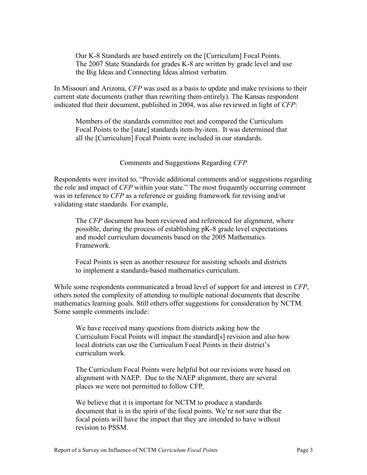Our K-8 Standards are based entirely on the [Curriculum] Focal Points. The 2007 State Standards for grades K-8 are written by grade level and use the Big Ideas and Connecting Ideas almost verbatim.

In Missouri and Arizona, *CFP* was used as a basis to update and make revisions to their current state documents (rather than rewriting them entirely). The Kansas respondent indicated that their document, published in 2004, was also reviewed in light of *CFP*:

Members of the standards committee met and compared the Curriculum Focal Points to the [state] standards item-by-item. It was determined that all the [Curriculum] Focal Points were included in our standards.

### Comments and Suggestions Regarding *CFP*

Respondents were invited to, "Provide additional comments and/or suggestions regarding the role and impact of *CFP* within your state." The most frequently occurring comment was in reference to *CFP* as a reference or guiding framework for revising and/or validating state standards. For example,

The *CFP* document has been reviewed and referenced for alignment, where possible, during the process of establishing pK-8 grade level expectations and model curriculum documents based on the 2005 Mathematics Framework.

Focal Points is seen as another resource for assisting schools and districts to implement a standards-based mathematics curriculum.

While some respondents communicated a broad level of support for and interest in *CFP*, others noted the complexity of attending to multiple national documents that describe mathematics learning goals. Still others offer suggestions for consideration by NCTM. Some sample comments include:

We have received many questions from districts asking how the Curriculum Focal Points will impact the standard[s] revision and also how local districts can use the Curriculum Focal Points in their district's curriculum work.

The Curriculum Focal Points were helpful but our revisions were based on alignment with NAEP. Due to the NAEP alignment, there are several places we were not permitted to follow CFP.

We believe that it is important for NCTM to produce a standards document that is in the spirit of the focal points. We're not sure that the focal points will have the impact that they are intended to have without revision to PSSM.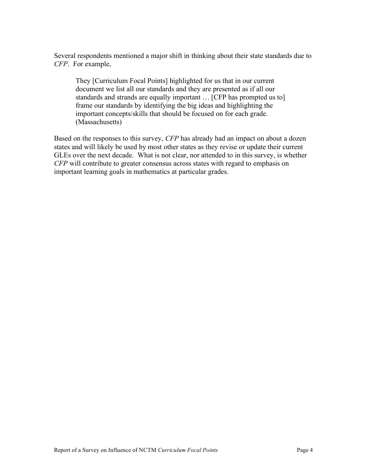Several respondents mentioned a major shift in thinking about their state standards due to *CFP*. For example,

They [Curriculum Focal Points] highlighted for us that in our current document we list all our standards and they are presented as if all our standards and strands are equally important … [CFP has prompted us to] frame our standards by identifying the big ideas and highlighting the important concepts/skills that should be focused on for each grade. (Massachusetts)

Based on the responses to this survey, *CFP* has already had an impact on about a dozen states and will likely be used by most other states as they revise or update their current GLEs over the next decade. What is not clear, nor attended to in this survey, is whether *CFP* will contribute to greater consensus across states with regard to emphasis on important learning goals in mathematics at particular grades.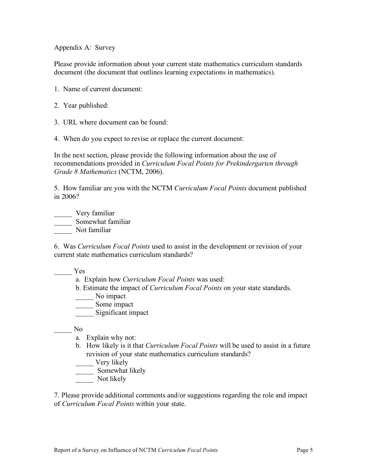Appendix A: Survey

Please provide information about your current state mathematics curriculum standards document (the document that outlines learning expectations in mathematics).

- 1. Name of current document:
- 2. Year published:
- 3. URL where document can be found:
- 4. When do you expect to revise or replace the current document:

In the next section, please provide the following information about the use of recommendations provided in *Curriculum Focal Points for Prekindergarten through Grade 8 Mathematics* (NCTM, 2006).

5. How familiar are you with the NCTM *Curriculum Focal Points* document published in 2006?

\_\_\_\_\_ Very familiar \_\_\_\_\_\_\_ Somewhat familiar Not familiar

6. Was *Curriculum Focal Points* used to assist in the development or revision of your current state mathematics curriculum standards?

- \_\_\_\_\_ Yes
	- a. Explain how *Curriculum Focal Points* was used:
	- b. Estimate the impact of *Curriculum Focal Points* on your state standards.
	- No impact
	- \_\_\_\_\_\_ Some impact
	- \_\_\_\_\_ Significant impact

\_\_\_\_\_ No

- a. Explain why not:
- b. How likely is it that *Curriculum Focal Points* will be used to assist in a future revision of your state mathematics curriculum standards?
- \_\_\_\_\_ Very likely
- \_\_\_\_\_ Somewhat likely
- Not likely

7. Please provide additional comments and/or suggestions regarding the role and impact of *Curriculum Focal Points* within your state.